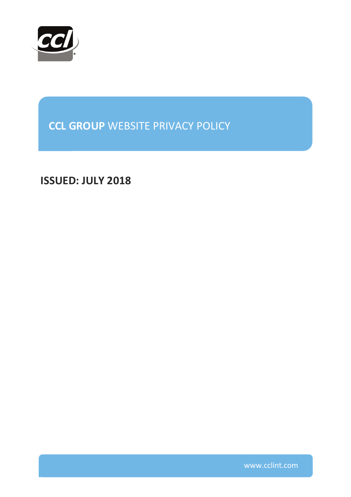

**CCL GROUP** WEBSITE PRIVACY POLICY

**ISSUED: JULY 2018**

www.cclint.com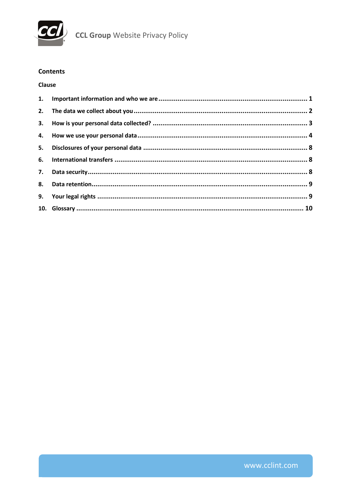

## **Contents**

## **Clause**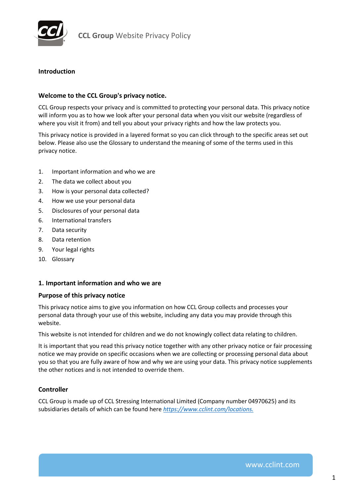

### **Introduction**

#### **Welcome to the CCL Group's privacy notice.**

CCL Group respects your privacy and is committed to protecting your personal data. This privacy notice will inform you as to how we look after your personal data when you visit our website (regardless of where you visit it from) and tell you about your privacy rights and how the law protects you.

This privacy notice is provided in a layered format so you can click through to the specific areas set out below. Please also use the Glossary to understand the meaning of some of the terms used in this privacy notice.

- 1. Important information and who we are
- 2. [The data we collect about you](#page-3-0)
- 3. [How is your personal data collected?](#page-4-0)
- 4. [How we use your personal data](#page-5-0)
- 5. [Disclosures of your personal data](#page-9-0)
- 6. [International transfers](#page-9-0)
- 7. [Data security](#page-9-0)
- 8. [Data retention](#page-10-0)
- 9. [Your legal rights](#page-10-0)
- 10. [Glossary](#page-11-0)

## **1. Important information and who we are**

#### **Purpose of this privacy notice**

This privacy notice aims to give you information on how CCL Group collects and processes your personal data through your use of this website, including any data you may provide through this website.

This website is not intended for children and we do not knowingly collect data relating to children.

It is important that you read this privacy notice together with any other privacy notice or fair processing notice we may provide on specific occasions when we are collecting or processing personal data about you so that you are fully aware of how and why we are using your data. This privacy notice supplements the other notices and is not intended to override them.

## **Controller**

CCL Group is made up of CCL Stressing International Limited (Company number 04970625) and its subsidiaries details of which can be found here *[https://www.cclint.com/locations.](https://www.cclint.com/locations)*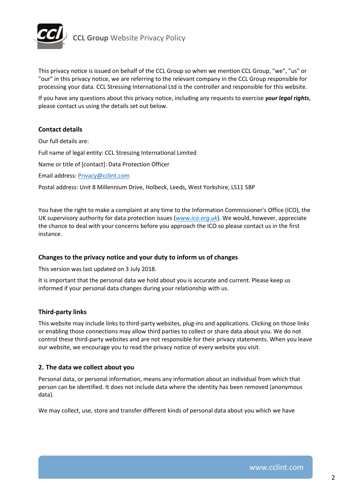<span id="page-3-0"></span>

This privacy notice is issued on behalf of the CCL Group so when we mention CCL Group, "we", "us" or "our" in this privacy notice, we are referring to the relevant company in the CCL Group responsible for processing your data. CCL Stressing International Ltd is the controller and responsible for this website.

If you have any questions about this privacy notice, including any requests to exercise *your legal rights*, please contact us using the details set out below.

## **Contact details**

Our full details are: Full name of legal entity: CCL Stressing International Limited Name or title of [contact]: Data Protection Officer Email address: [Privacy@cclint.com](mailto:Privacy@cclint.com) Postal address: Unit 8 Millennium Drive, Holbeck, Leeds, West Yorkshire, LS11 5BP

You have the right to make a complaint at any time to the Information Commissioner's Office (ICO), the UK supervisory authority for data protection issues (*<www.ico.org.uk>*). We would, however, appreciate the chance to deal with your concerns before you approach the ICO so please contact us in the first instance.

## **Changes to the privacy notice and your duty to inform us of changes**

This version was last updated on 3 July 2018.

It is important that the personal data we hold about you is accurate and current. Please keep us informed if your personal data changes during your relationship with us.

## **Third-party links**

This website may include links to third-party websites, plug-ins and applications. Clicking on those links or enabling those connections may allow third parties to collect or share data about you. We do not control these third-party websites and are not responsible for their privacy statements. When you leave our website, we encourage you to read the privacy notice of every website you visit.

## **2. The data we collect about you**

Personal data, or personal information, means any information about an individual from which that person can be identified. It does not include data where the identity has been removed (anonymous data).

We may collect, use, store and transfer different kinds of personal data about you which we have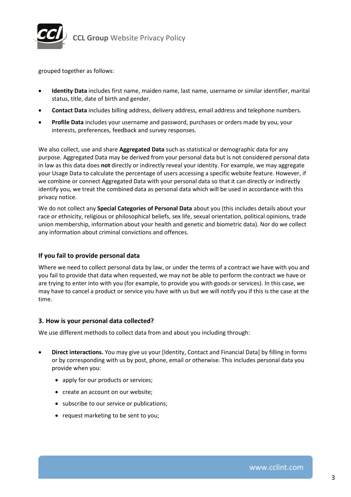<span id="page-4-0"></span>

grouped together as follows:

- **Identity Data** includes first name, maiden name, last name, username or similar identifier, marital status, title, date of birth and gender.
- **Contact Data** includes billing address, delivery address, email address and telephone numbers.
- **Profile Data** includes your username and password, purchases or orders made by you, your interests, preferences, feedback and survey responses.

We also collect, use and share **Aggregated Data** such as statistical or demographic data for any purpose. Aggregated Data may be derived from your personal data but is not considered personal data in law as this data does **not** directly or indirectly reveal your identity. For example, we may aggregate your Usage Data to calculate the percentage of users accessing a specific website feature. However, if we combine or connect Aggregated Data with your personal data so that it can directly or indirectly identify you, we treat the combined data as personal data which will be used in accordance with this privacy notice.

We do not collect any **Special Categories of Personal Data** about you (this includes details about your race or ethnicity, religious or philosophical beliefs, sex life, sexual orientation, political opinions, trade union membership, information about your health and genetic and biometric data). Nor do we collect any information about criminal convictions and offences.

## **If you fail to provide personal data**

Where we need to collect personal data by law, or under the terms of a contract we have with you and you fail to provide that data when requested, we may not be able to perform the contract we have or are trying to enter into with you (for example, to provide you with goods or services). In this case, we may have to cancel a product or service you have with us but we will notify you if this is the case at the time.

## **3. How is your personal data collected?**

We use different methods to collect data from and about you including through:

- **Direct interactions.** You may give us your [Identity, Contact and Financial Data] by filling in forms or by corresponding with us by post, phone, email or otherwise. This includes personal data you provide when you:
	- apply for our products or services;
	- create an account on our website;
	- subscribe to our service or publications;
	- request marketing to be sent to you;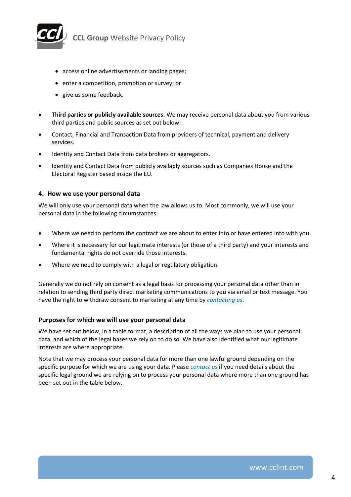<span id="page-5-0"></span>

- access online advertisements or landing pages;
- enter a competition, promotion or survey; or
- give us some feedback.
- **Third parties or publicly available sources.** We may receive personal data about you from various third parties and public sources as set out below:
- Contact, Financial and Transaction Data from providers of technical, payment and delivery services.
- Identity and Contact Data from data brokers or aggregators.
- Identity and Contact Data from publicly availably sources such as Companies House and the Electoral Register based inside the EU.

#### **4. How we use your personal data**

We will only use your personal data when the law allows us to. Most commonly, we will use your personal data in the following circumstances:

- Where we need to perform the contract we are about to enter into or have entered into with you.
- Where it is necessary for our legitimate interests (or those of a third party) and your interests and fundamental rights do not override those interests.
- Where we need to comply with a legal or regulatory obligation.

Generally we do not rely on consent as a legal basis for processing your personal data other than in relation to sending third party direct marketing communications to you via email or text message. You have the right to withdraw consent to marketing at any time by *[contacting us](mailto:Privacy@cclint.com)*.

## **Purposes for which we will use your personal data**

We have set out below, in a table format, a description of all the ways we plan to use your personal data, and which of the legal bases we rely on to do so. We have also identified what our legitimate interests are where appropriate.

Note that we may process your personal data for more than one lawful ground depending on the specific purpose for which we are using your data. Please *[contact us](mailto:Privacy@cclint.com)* if you need details about the specific legal ground we are relying on to process your personal data where more than one ground has been set out in the table below.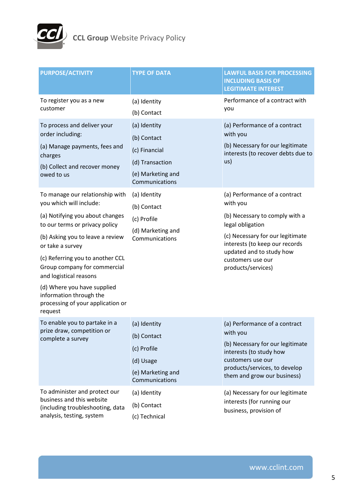

| <b>PURPOSE/ACTIVITY</b>                                                                                                                                                                                                                                                                                                                                                                                                                                                                       | <b>TYPE OF DATA</b>                                                                                                                                                                         | <b>LAWFUL BASIS FOR PROCESSING</b><br><b>INCLUDING BASIS OF</b><br><b>LEGITIMATE INTEREST</b>                                                                                                                                                                                                                                                                              |
|-----------------------------------------------------------------------------------------------------------------------------------------------------------------------------------------------------------------------------------------------------------------------------------------------------------------------------------------------------------------------------------------------------------------------------------------------------------------------------------------------|---------------------------------------------------------------------------------------------------------------------------------------------------------------------------------------------|----------------------------------------------------------------------------------------------------------------------------------------------------------------------------------------------------------------------------------------------------------------------------------------------------------------------------------------------------------------------------|
| To register you as a new<br>customer                                                                                                                                                                                                                                                                                                                                                                                                                                                          | (a) Identity<br>(b) Contact                                                                                                                                                                 | Performance of a contract with<br>you                                                                                                                                                                                                                                                                                                                                      |
| To process and deliver your<br>order including:<br>(a) Manage payments, fees and<br>charges<br>(b) Collect and recover money<br>owed to us<br>To manage our relationship with<br>you which will include:<br>(a) Notifying you about changes<br>to our terms or privacy policy<br>(b) Asking you to leave a review<br>or take a survey<br>(c) Referring you to another CCL<br>Group company for commercial<br>and logistical reasons<br>(d) Where you have supplied<br>information through the | (a) Identity<br>(b) Contact<br>(c) Financial<br>(d) Transaction<br>(e) Marketing and<br>Communications<br>(a) Identity<br>(b) Contact<br>(c) Profile<br>(d) Marketing and<br>Communications | (a) Performance of a contract<br>with you<br>(b) Necessary for our legitimate<br>interests (to recover debts due to<br>us)<br>(a) Performance of a contract<br>with you<br>(b) Necessary to comply with a<br>legal obligation<br>(c) Necessary for our legitimate<br>interests (to keep our records<br>updated and to study how<br>customers use our<br>products/services) |
| processing of your application or<br>request                                                                                                                                                                                                                                                                                                                                                                                                                                                  |                                                                                                                                                                                             |                                                                                                                                                                                                                                                                                                                                                                            |
| To enable you to partake in a<br>prize draw, competition or<br>complete a survey                                                                                                                                                                                                                                                                                                                                                                                                              | (a) Identity<br>(b) Contact<br>(c) Profile<br>(d) Usage<br>(e) Marketing and<br>Communications                                                                                              | (a) Performance of a contract<br>with you<br>(b) Necessary for our legitimate<br>interests (to study how<br>customers use our<br>products/services, to develop<br>them and grow our business)                                                                                                                                                                              |
| To administer and protect our<br>business and this website<br>(including troubleshooting, data<br>analysis, testing, system                                                                                                                                                                                                                                                                                                                                                                   | (a) Identity<br>(b) Contact<br>(c) Technical                                                                                                                                                | (a) Necessary for our legitimate<br>interests (for running our<br>business, provision of                                                                                                                                                                                                                                                                                   |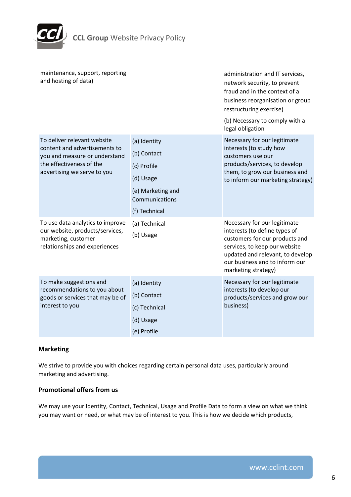

| maintenance, support, reporting<br>and hosting of data)                                                                                                  |                                                                                                                 | administration and IT services,<br>network security, to prevent<br>fraud and in the context of a<br>business reorganisation or group<br>restructuring exercise)<br>(b) Necessary to comply with a<br>legal obligation         |
|----------------------------------------------------------------------------------------------------------------------------------------------------------|-----------------------------------------------------------------------------------------------------------------|-------------------------------------------------------------------------------------------------------------------------------------------------------------------------------------------------------------------------------|
| To deliver relevant website<br>content and advertisements to<br>you and measure or understand<br>the effectiveness of the<br>advertising we serve to you | (a) Identity<br>(b) Contact<br>(c) Profile<br>(d) Usage<br>(e) Marketing and<br>Communications<br>(f) Technical | Necessary for our legitimate<br>interests (to study how<br>customers use our<br>products/services, to develop<br>them, to grow our business and<br>to inform our marketing strategy)                                          |
| To use data analytics to improve<br>our website, products/services,<br>marketing, customer<br>relationships and experiences                              | (a) Technical<br>(b) Usage                                                                                      | Necessary for our legitimate<br>interests (to define types of<br>customers for our products and<br>services, to keep our website<br>updated and relevant, to develop<br>our business and to inform our<br>marketing strategy) |
| To make suggestions and<br>recommendations to you about<br>goods or services that may be of<br>interest to you                                           | (a) Identity<br>(b) Contact<br>(c) Technical<br>(d) Usage<br>(e) Profile                                        | Necessary for our legitimate<br>interests (to develop our<br>products/services and grow our<br>business)                                                                                                                      |

# **Marketing**

We strive to provide you with choices regarding certain personal data uses, particularly around marketing and advertising.

## **Promotional offers from us**

We may use your Identity, Contact, Technical, Usage and Profile Data to form a view on what we think you may want or need, or what may be of interest to you. This is how we decide which products,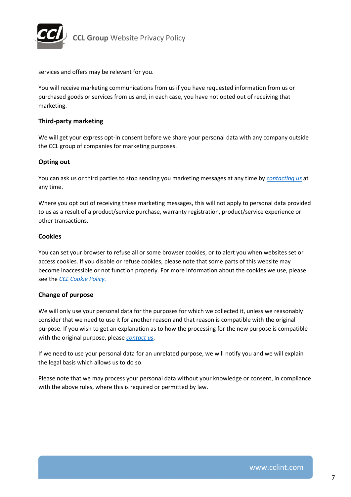

services and offers may be relevant for you.

You will receive marketing communications from us if you have requested information from us or purchased goods or services from us and, in each case, you have not opted out of receiving that marketing.

## **Third-party marketing**

We will get your express opt-in consent before we share your personal data with any company outside the CCL group of companies for marketing purposes.

## **Opting out**

You can ask us or third parties to stop sending you marketing messages at any time by *[contacting us](mailto:Privacy@cclint.com)* at any time.

Where you opt out of receiving these marketing messages, this will not apply to personal data provided to us as a result of a product/service purchase, warranty registration, product/service experience or other transactions.

#### **Cookies**

You can set your browser to refuse all or some browser cookies, or to alert you when websites set or access cookies. If you disable or refuse cookies, please note that some parts of this website may become inaccessible or not function properly. For more information about the cookies we use, please see the *CCL Cookie Policy.*

#### **Change of purpose**

We will only use your personal data for the purposes for which we collected it, unless we reasonably consider that we need to use it for another reason and that reason is compatible with the original purpose. If you wish to get an explanation as to how the processing for the new purpose is compatible with the original purpose, please *[contact us](mailto:Privacy@cclint.com)*.

If we need to use your personal data for an unrelated purpose, we will notify you and we will explain the legal basis which allows us to do so.

Please note that we may process your personal data without your knowledge or consent, in compliance with the above rules, where this is required or permitted by law.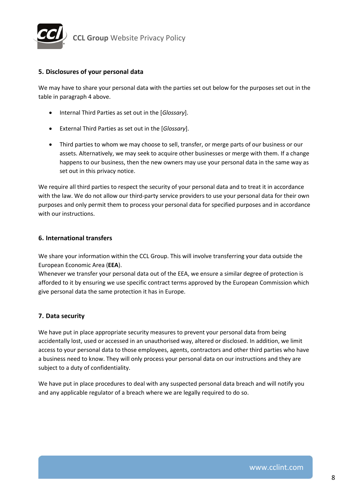<span id="page-9-0"></span>

## **5. Disclosures of your personal data**

We may have to share your personal data with the parties set out below for the purposes set out in the table in paragraph 4 above.

- Internal Third Parties as set out in the [*Glossary*].
- External Third Parties as set out in the [*Glossary*].
- Third parties to whom we may choose to sell, transfer, or merge parts of our business or our assets. Alternatively, we may seek to acquire other businesses or merge with them. If a change happens to our business, then the new owners may use your personal data in the same way as set out in this privacy notice.

We require all third parties to respect the security of your personal data and to treat it in accordance with the law. We do not allow our third-party service providers to use your personal data for their own purposes and only permit them to process your personal data for specified purposes and in accordance with our instructions.

## **6. International transfers**

We share your information within the CCL Group. This will involve transferring your data outside the European Economic Area (**EEA**).

Whenever we transfer your personal data out of the EEA, we ensure a similar degree of protection is afforded to it by ensuring we use specific contract terms approved by the European Commission which give personal data the same protection it has in Europe.

# **7. Data security**

We have put in place appropriate security measures to prevent your personal data from being accidentally lost, used or accessed in an unauthorised way, altered or disclosed. In addition, we limit access to your personal data to those employees, agents, contractors and other third parties who have a business need to know. They will only process your personal data on our instructions and they are subject to a duty of confidentiality.

We have put in place procedures to deal with any suspected personal data breach and will notify you and any applicable regulator of a breach where we are legally required to do so.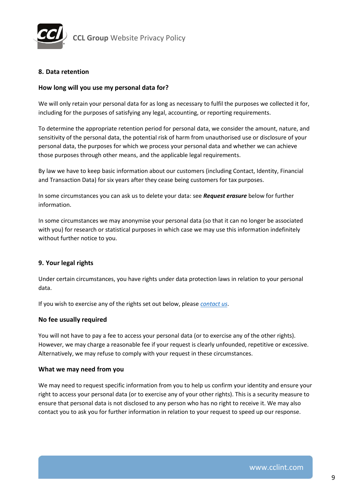<span id="page-10-0"></span>

# **8. Data retention**

## **How long will you use my personal data for?**

We will only retain your personal data for as long as necessary to fulfil the purposes we collected it for, including for the purposes of satisfying any legal, accounting, or reporting requirements.

To determine the appropriate retention period for personal data, we consider the amount, nature, and sensitivity of the personal data, the potential risk of harm from unauthorised use or disclosure of your personal data, the purposes for which we process your personal data and whether we can achieve those purposes through other means, and the applicable legal requirements.

By law we have to keep basic information about our customers (including Contact, Identity, Financial and Transaction Data) for six years after they cease being customers for tax purposes.

In some circumstances you can ask us to delete your data: see *Request erasure* below for further information.

In some circumstances we may anonymise your personal data (so that it can no longer be associated with you) for research or statistical purposes in which case we may use this information indefinitely without further notice to you.

## **9. Your legal rights**

Under certain circumstances, you have rights under data protection laws in relation to your personal data.

If you wish to exercise any of the rights set out below, please *[contact us](mailto:Privacy@cclint.com)*.

## **No fee usually required**

You will not have to pay a fee to access your personal data (or to exercise any of the other rights). However, we may charge a reasonable fee if your request is clearly unfounded, repetitive or excessive. Alternatively, we may refuse to comply with your request in these circumstances.

## **What we may need from you**

We may need to request specific information from you to help us confirm your identity and ensure your right to access your personal data (or to exercise any of your other rights). This is a security measure to ensure that personal data is not disclosed to any person who has no right to receive it. We may also contact you to ask you for further information in relation to your request to speed up our response.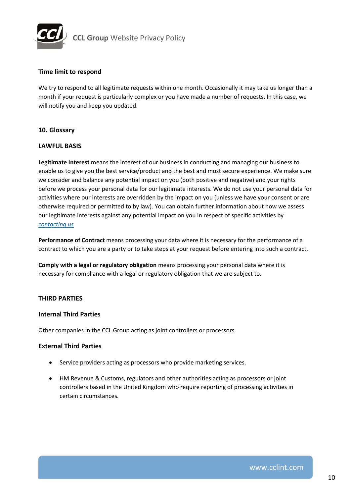<span id="page-11-0"></span>

## **Time limit to respond**

We try to respond to all legitimate requests within one month. Occasionally it may take us longer than a month if your request is particularly complex or you have made a number of requests. In this case, we will notify you and keep you updated.

## **10. Glossary**

## **LAWFUL BASIS**

**Legitimate Interest** means the interest of our business in conducting and managing our business to enable us to give you the best service/product and the best and most secure experience. We make sure we consider and balance any potential impact on you (both positive and negative) and your rights before we process your personal data for our legitimate interests. We do not use your personal data for activities where our interests are overridden by the impact on you (unless we have your consent or are otherwise required or permitted to by law). You can obtain further information about how we assess our legitimate interests against any potential impact on you in respect of specific activities by *[contacting us](mailto:Privacy@cclint.com)*

**Performance of Contract** means processing your data where it is necessary for the performance of a contract to which you are a party or to take steps at your request before entering into such a contract.

**Comply with a legal or regulatory obligation** means processing your personal data where it is necessary for compliance with a legal or regulatory obligation that we are subject to.

## **THIRD PARTIES**

## **Internal Third Parties**

Other companies in the CCL Group acting as joint controllers or processors.

## **External Third Parties**

- Service providers acting as processors who provide marketing services.
- HM Revenue & Customs, regulators and other authorities acting as processors or joint controllers based in the United Kingdom who require reporting of processing activities in certain circumstances.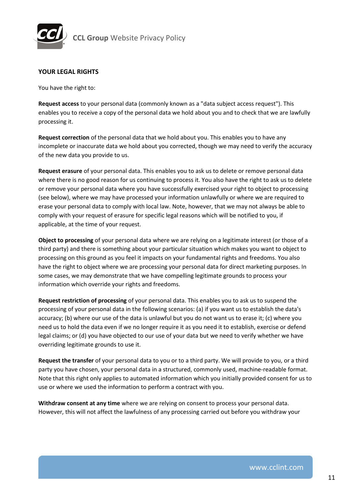

## **YOUR LEGAL RIGHTS**

You have the right to:

**Request access** to your personal data (commonly known as a "data subject access request"). This enables you to receive a copy of the personal data we hold about you and to check that we are lawfully processing it.

**Request correction** of the personal data that we hold about you. This enables you to have any incomplete or inaccurate data we hold about you corrected, though we may need to verify the accuracy of the new data you provide to us.

**Request erasure** of your personal data. This enables you to ask us to delete or remove personal data where there is no good reason for us continuing to process it. You also have the right to ask us to delete or remove your personal data where you have successfully exercised your right to object to processing (see below), where we may have processed your information unlawfully or where we are required to erase your personal data to comply with local law. Note, however, that we may not always be able to comply with your request of erasure for specific legal reasons which will be notified to you, if applicable, at the time of your request.

**Object to processing** of your personal data where we are relying on a legitimate interest (or those of a third party) and there is something about your particular situation which makes you want to object to processing on this ground as you feel it impacts on your fundamental rights and freedoms. You also have the right to object where we are processing your personal data for direct marketing purposes. In some cases, we may demonstrate that we have compelling legitimate grounds to process your information which override your rights and freedoms.

**Request restriction of processing** of your personal data. This enables you to ask us to suspend the processing of your personal data in the following scenarios: (a) if you want us to establish the data's accuracy; (b) where our use of the data is unlawful but you do not want us to erase it; (c) where you need us to hold the data even if we no longer require it as you need it to establish, exercise or defend legal claims; or (d) you have objected to our use of your data but we need to verify whether we have overriding legitimate grounds to use it.

**Request the transfer** of your personal data to you or to a third party. We will provide to you, or a third party you have chosen, your personal data in a structured, commonly used, machine-readable format. Note that this right only applies to automated information which you initially provided consent for us to use or where we used the information to perform a contract with you.

**Withdraw consent at any time** where we are relying on consent to process your personal data. However, this will not affect the lawfulness of any processing carried out before you withdraw your